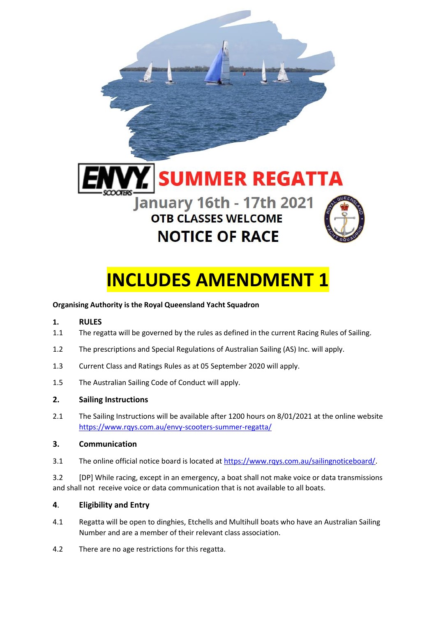

# **INCLUDES AMENDMENT 1**

#### **Organising Authority is the Royal Queensland Yacht Squadron**

#### **1. RULES**

- 1.1 The regatta will be governed by the rules as defined in the current Racing Rules of Sailing.
- 1.2 The prescriptions and Special Regulations of Australian Sailing (AS) Inc. will apply.
- 1.3 Current Class and Ratings Rules as at 05 September 2020 will apply.
- 1.5 The Australian Sailing Code of Conduct will apply.

#### **2. Sailing Instructions**

2.1 The Sailing Instructions will be available after 1200 hours on 8/01/2021 at the online website <https://www.rqys.com.au/envy-scooters-summer-regatta/>

#### **3. Communication**

3.1 The online official notice board is located a[t https://www.rqys.com.au/sailingnoticeboard/.](https://www.rqys.com.au/sailingnoticeboard/)

3.2 [DP] While racing, except in an emergency, a boat shall not make voice or data transmissions and shall not receive voice or data communication that is not available to all boats.

#### **4**. **Eligibility and Entry**

- 4.1 Regatta will be open to dinghies, Etchells and Multihull boats who have an Australian Sailing Number and are a member of their relevant class association.
- 4.2 There are no age restrictions for this regatta.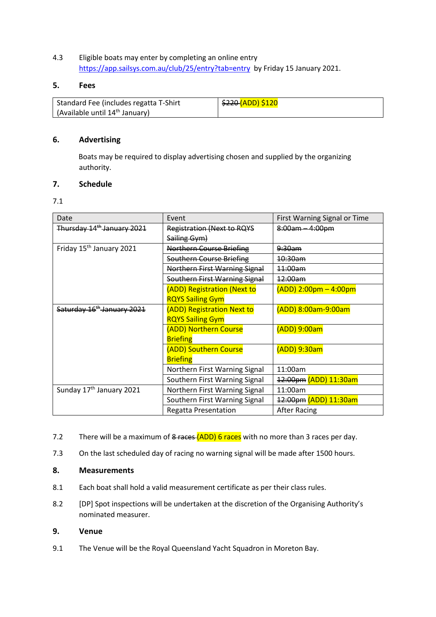#### 4.3 Eligible boats may enter by completing an online entry <https://app.sailsys.com.au/club/25/entry?tab=entry> by Friday 15 January 2021.

#### **5. Fees**

| Standard Fee (includes regatta T-Shirt            | l <del>\$220 <mark>(</mark>ADD) \$120</del> |
|---------------------------------------------------|---------------------------------------------|
| $\int$ (Available until 14 <sup>th</sup> January) |                                             |

#### **6. Advertising**

Boats may be required to display advertising chosen and supplied by the organizing authority.

#### **7. Schedule**

#### 7.1

| Date                                   | Event                             | First Warning Signal or Time |
|----------------------------------------|-----------------------------------|------------------------------|
| Thursday 14 <sup>th</sup> January 2021 | <b>Registration (Next to RQYS</b> | 8:00am - 4:00pm              |
|                                        | Sailing Gym)                      |                              |
| Friday 15 <sup>th</sup> January 2021   | <b>Northern Course Briefing</b>   | <del>9:30am</del>            |
|                                        | Southern Course Briefing          | 10:30am                      |
|                                        | Northern First Warning Signal     | 11:00am                      |
|                                        | Southern First Warning Signal     | 12:00am                      |
|                                        | (ADD) Registration (Next to       | $(ADD)$ 2:00pm – 4:00pm      |
|                                        | <b>RQYS Sailing Gym</b>           |                              |
| Saturday 16 <sup>th</sup> January 2021 | (ADD) Registration Next to        | (ADD) 8:00am-9:00am          |
|                                        | <b>RQYS Sailing Gym</b>           |                              |
|                                        | (ADD) Northern Course             | (ADD) 9:00am                 |
|                                        | <b>Briefing</b>                   |                              |
|                                        | (ADD) Southern Course             | (ADD) 9:30am                 |
|                                        | <b>Briefing</b>                   |                              |
|                                        | Northern First Warning Signal     | 11:00am                      |
|                                        | Southern First Warning Signal     | 12:00pm (ADD) 11:30am        |
| Sunday 17 <sup>th</sup> January 2021   | Northern First Warning Signal     | 11:00am                      |
|                                        | Southern First Warning Signal     | 12:00pm (ADD) 11:30am        |
|                                        | <b>Regatta Presentation</b>       | <b>After Racing</b>          |

- 7.2 There will be a maximum of 8 races (ADD) 6 races with no more than 3 races per day.
- 7.3 On the last scheduled day of racing no warning signal will be made after 1500 hours.

#### **8. Measurements**

- 8.1 Each boat shall hold a valid measurement certificate as per their class rules.
- 8.2 [DP] Spot inspections will be undertaken at the discretion of the Organising Authority's nominated measurer.

#### **9. Venue**

9.1 The Venue will be the Royal Queensland Yacht Squadron in Moreton Bay.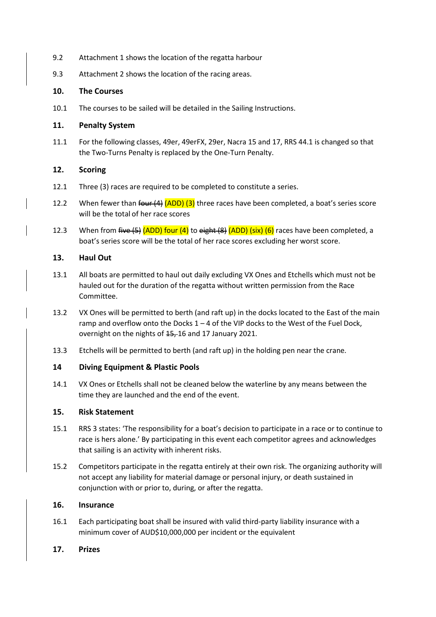- 9.2 Attachment 1 shows the location of the regatta harbour
- 9.3 Attachment 2 shows the location of the racing areas.

#### **10. The Courses**

10.1 The courses to be sailed will be detailed in the Sailing Instructions.

#### **11. Penalty System**

11.1 For the following classes, 49er, 49erFX, 29er, Nacra 15 and 17, RRS 44.1 is changed so that the Two-Turns Penalty is replaced by the One-Turn Penalty.

#### **12. Scoring**

- 12.1 Three (3) races are required to be completed to constitute a series.
- 12.2 When fewer than four  $(4)$   $(ADD)$   $(3)$  three races have been completed, a boat's series score will be the total of her race scores
- 12.3 When from five  $(5)$  (ADD) four (4) to eight  $(8)$  (ADD) (six) (6) races have been completed, a boat's series score will be the total of her race scores excluding her worst score.

#### **13. Haul Out**

- 13.1 All boats are permitted to haul out daily excluding VX Ones and Etchells which must not be hauled out for the duration of the regatta without written permission from the Race Committee.
- 13.2 VX Ones will be permitted to berth (and raft up) in the docks located to the East of the main ramp and overflow onto the Docks  $1 - 4$  of the VIP docks to the West of the Fuel Dock, overnight on the nights of  $15, 16$  and 17 January 2021.
- 13.3 Etchells will be permitted to berth (and raft up) in the holding pen near the crane.

#### **14 Diving Equipment & Plastic Pools**

14.1 VX Ones or Etchells shall not be cleaned below the waterline by any means between the time they are launched and the end of the event.

#### **15. Risk Statement**

- 15.1 RRS 3 states: 'The responsibility for a boat's decision to participate in a race or to continue to race is hers alone.' By participating in this event each competitor agrees and acknowledges that sailing is an activity with inherent risks.
- 15.2 Competitors participate in the regatta entirely at their own risk. The organizing authority will not accept any liability for material damage or personal injury, or death sustained in conjunction with or prior to, during, or after the regatta.

#### **16. Insurance**

- 16.1 Each participating boat shall be insured with valid third-party liability insurance with a minimum cover of AUD\$10,000,000 per incident or the equivalent
- **17. Prizes**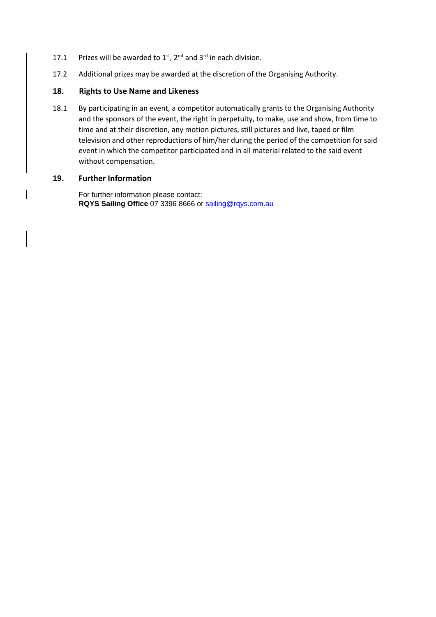- 17.1 Prizes will be awarded to  $1^{st}$ ,  $2^{nd}$  and  $3^{rd}$  in each division.
- 17.2 Additional prizes may be awarded at the discretion of the Organising Authority.

#### **18. Rights to Use Name and Likeness**

18.1 By participating in an event, a competitor automatically grants to the Organising Authority and the sponsors of the event, the right in perpetuity, to make, use and show, from time to time and at their discretion, any motion pictures, still pictures and live, taped or film television and other reproductions of him/her during the period of the competition for said event in which the competitor participated and in all material related to the said event without compensation.

#### **19. Further Information**

For further information please contact: **RQYS Sailing Office** 07 3396 8666 or [sailing@rqys.com.au](mailto:sailing@rqys.com.au)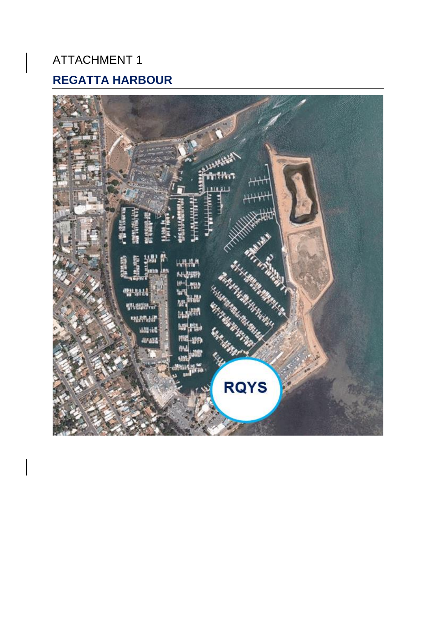## ATTACHMENT 1 **REGATTA HARBOUR**

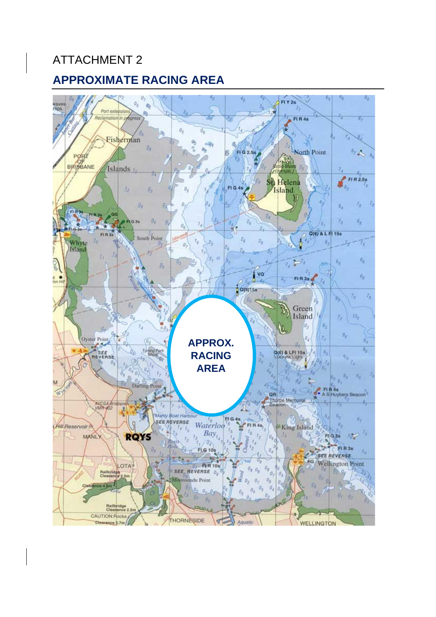## ATTACHMENT 2

### **APPROXIMATE RACING AREA**